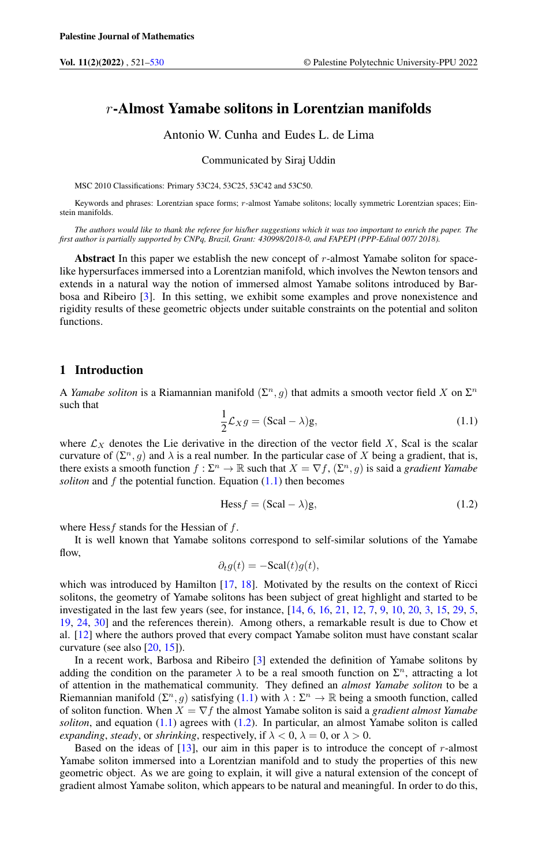# $r$ -Almost Yamabe solitons in Lorentzian manifolds

Antonio W. Cunha and Eudes L. de Lima

Communicated by Siraj Uddin

MSC 2010 Classifications: Primary 53C24, 53C25, 53C42 and 53C50.

Keywords and phrases: Lorentzian space forms; r-almost Yamabe solitons; locally symmetric Lorentzian spaces; Einstein manifolds.

*The authors would like to thank the referee for his/her suggestions which it was too important to enrich the paper. The first author is partially supported by CNPq, Brazil, Grant: 430998/2018-0, and FAPEPI (PPP-Edital 007/ 2018).*

Abstract In this paper we establish the new concept of  $r$ -almost Yamabe soliton for spacelike hypersurfaces immersed into a Lorentzian manifold, which involves the Newton tensors and extends in a natural way the notion of immersed almost Yamabe solitons introduced by Barbosa and Ribeiro [\[3\]](#page-8-1). In this setting, we exhibit some examples and prove nonexistence and rigidity results of these geometric objects under suitable constraints on the potential and soliton functions.

## 1 Introduction

<span id="page-0-0"></span>A *Yamabe soliton* is a Riamannian manifold  $(\Sigma^n, g)$  that admits a smooth vector field X on  $\Sigma^n$ such that

$$
\frac{1}{2}\mathcal{L}_X g = (\text{Scal} - \lambda)g,\tag{1.1}
$$

where  $\mathcal{L}_X$  denotes the Lie derivative in the direction of the vector field X, Scal is the scalar curvature of  $(\Sigma^n, g)$  and  $\lambda$  is a real number. In the particular case of X being a gradient, that is, there exists a smooth function  $f: \Sigma^n \to \mathbb{R}$  such that  $X = \nabla f$ ,  $(\Sigma^n, g)$  is said a *gradient Yamabe soliton* and  $f$  the potential function. Equation  $(1.1)$  then becomes

<span id="page-0-1"></span>
$$
\text{Hess} f = (\text{Scal} - \lambda)g,\tag{1.2}
$$

where Hess  $f$  stands for the Hessian of  $f$ .

It is well known that Yamabe solitons correspond to self-similar solutions of the Yamabe flow,

$$
\partial_t g(t) = -\text{Scal}(t)g(t),
$$

which was introduced by Hamilton [\[17,](#page-8-2) [18\]](#page-8-3). Motivated by the results on the context of Ricci solitons, the geometry of Yamabe solitons has been subject of great highlight and started to be investigated in the last few years (see, for instance, [\[14,](#page-8-4) [6,](#page-8-5) [16,](#page-8-6) [21,](#page-8-7) [12,](#page-8-8) [7,](#page-8-9) [9,](#page-8-10) [10,](#page-8-11) [20,](#page-8-12) [3,](#page-8-1) [15,](#page-8-13) [29,](#page-8-14) [5,](#page-8-15) [19,](#page-8-16) [24,](#page-8-17) [30\]](#page-9-0) and the references therein). Among others, a remarkable result is due to Chow et al. [\[12\]](#page-8-8) where the authors proved that every compact Yamabe soliton must have constant scalar curvature (see also [\[20,](#page-8-12) [15\]](#page-8-13)).

In a recent work, Barbosa and Ribeiro [\[3\]](#page-8-1) extended the definition of Yamabe solitons by adding the condition on the parameter  $\lambda$  to be a real smooth function on  $\Sigma<sup>n</sup>$ , attracting a lot of attention in the mathematical community. They defined an *almost Yamabe soliton* to be a Riemannian manifold  $(\Sigma^n, g)$  satisfying  $(1.1)$  with  $\lambda : \Sigma^n \to \mathbb{R}$  being a smooth function, called of soliton function. When  $X = \nabla f$  the almost Yamabe soliton is said a *gradient almost Yamabe soliton*, and equation [\(1.1\)](#page-0-0) agrees with [\(1.2\)](#page-0-1). In particular, an almost Yamabe soliton is called *expanding*, *steady*, or *shrinking*, respectively, if  $\lambda < 0$ ,  $\lambda = 0$ , or  $\lambda > 0$ .

Based on the ideas of  $[13]$ , our aim in this paper is to introduce the concept of r-almost Yamabe soliton immersed into a Lorentzian manifold and to study the properties of this new geometric object. As we are going to explain, it will give a natural extension of the concept of gradient almost Yamabe soliton, which appears to be natural and meaningful. In order to do this,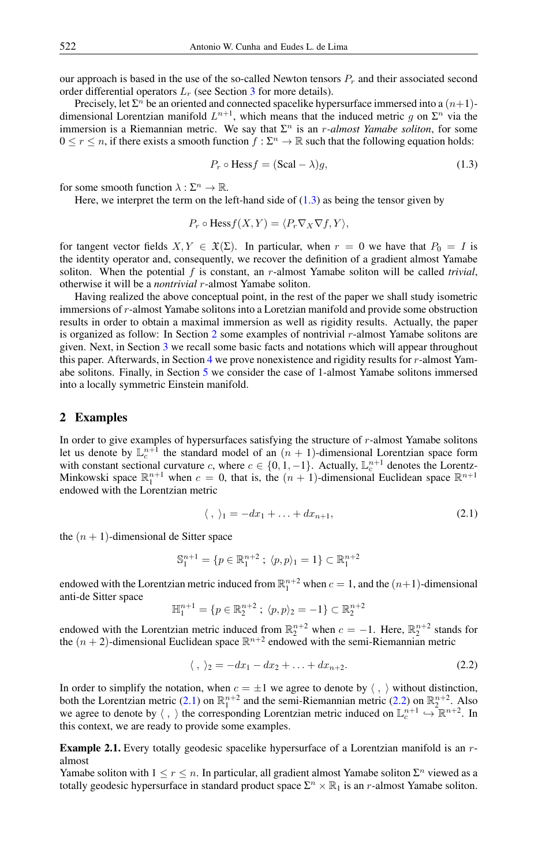our approach is based in the use of the so-called Newton tensors  $P<sub>r</sub>$  and their associated second order differential operators  $L_r$  (see Section [3](#page-2-0) for more details).

Precisely, let  $\Sigma^n$  be an oriented and connected spacelike hypersurface immersed into a  $(n+1)$ dimensional Lorentzian manifold  $L^{n+1}$ , which means that the induced metric g on  $\Sigma^n$  via the immersion is a Riemannian metric. We say that  $\Sigma<sup>n</sup>$  is an *r*-almost Yamabe soliton, for some  $0 \le r \le n$ , if there exists a smooth function  $f : \Sigma^n \to \mathbb{R}$  such that the following equation holds:

<span id="page-1-0"></span>
$$
P_r \circ \text{Hess} f = (\text{Scal} - \lambda)g,\tag{1.3}
$$

for some smooth function  $\lambda : \Sigma^n \to \mathbb{R}$ .

Here, we interpret the term on the left-hand side of  $(1.3)$  as being the tensor given by

$$
P_r \circ \text{Hess} f(X, Y) = \langle P_r \nabla_X \nabla f, Y \rangle,
$$

for tangent vector fields  $X, Y \in \mathfrak{X}(\Sigma)$ . In particular, when  $r = 0$  we have that  $P_0 = I$  is the identity operator and, consequently, we recover the definition of a gradient almost Yamabe soliton. When the potential  $f$  is constant, an  $r$ -almost Yamabe soliton will be called *trivial*, otherwise it will be a *nontrivial* r-almost Yamabe soliton.

Having realized the above conceptual point, in the rest of the paper we shall study isometric immersions of r-almost Yamabe solitons into a Loretzian manifold and provide some obstruction results in order to obtain a maximal immersion as well as rigidity results. Actually, the paper is organized as follow: In Section [2](#page-1-1) some examples of nontrivial r-almost Yamabe solitons are given. Next, in Section [3](#page-2-0) we recall some basic facts and notations which will appear throughout this paper. Afterwards, in Section [4](#page-3-0) we prove nonexistence and rigidity results for  $r$ -almost Yamabe solitons. Finally, in Section [5](#page-6-0) we consider the case of 1-almost Yamabe solitons immersed into a locally symmetric Einstein manifold.

# <span id="page-1-1"></span>2 Examples

In order to give examples of hypersurfaces satisfying the structure of r-almost Yamabe solitons let us denote by  $\mathbb{L}_c^{n+1}$  the standard model of an  $(n + 1)$ -dimensional Lorentzian space form with constant sectional curvature c, where  $c \in \{0, 1, -1\}$ . Actually,  $\mathbb{L}_c^{n+1}$  denotes the Lorentz-Minkowski space  $\mathbb{R}^{n+1}$  when  $c = 0$ , that is, the  $(n + 1)$ -dimensional Euclidean space  $\mathbb{R}^{n+1}$ endowed with the Lorentzian metric

<span id="page-1-2"></span>
$$
\langle , \rangle_1 = -dx_1 + \ldots + dx_{n+1}, \tag{2.1}
$$

the  $(n + 1)$ -dimensional de Sitter space

$$
\mathbb{S}^{n+1}_{1} = \{ p \in \mathbb{R}^{n+2}_{1} ; \ \langle p, p \rangle_{1} = 1 \} \subset \mathbb{R}^{n+2}_{1}
$$

endowed with the Lorentzian metric induced from  $\mathbb{R}^{n+2}_1$  when  $c = 1$ , and the  $(n+1)$ -dimensional anti-de Sitter space

$$
\mathbb{H}_1^{n+1} = \{ p \in \mathbb{R}_2^{n+2} \; ; \; \langle p, p \rangle_2 = -1 \} \subset \mathbb{R}_2^{n+2}
$$

endowed with the Lorentzian metric induced from  $\mathbb{R}_2^{n+2}$  when  $c = -1$ . Here,  $\mathbb{R}_2^{n+2}$  stands for the  $(n+2)$ -dimensional Euclidean space  $\mathbb{R}^{n+2}$  endowed with the semi-Riemannian metric

<span id="page-1-3"></span>
$$
\langle , \rangle_2 = -dx_1 - dx_2 + \ldots + dx_{n+2}.
$$
 (2.2)

In order to simplify the notation, when  $c = \pm 1$  we agree to denote by  $\langle , \rangle$  without distinction, both the Lorentzian metric [\(2.1\)](#page-1-2) on  $\mathbb{R}^{n+2}$  and the semi-Riemannian metric [\(2.2\)](#page-1-3) on  $\mathbb{R}^{n+2}$ . Also we agree to denote by  $\langle , \rangle$  the corresponding Lorentzian metric induced on  $\mathbb{L}_c^{n+1} \hookrightarrow \mathbb{R}^{n+2}$ . In this context, we are ready to provide some examples.

<span id="page-1-4"></span>**Example 2.1.** Every totally geodesic spacelike hypersurface of a Lorentzian manifold is an  $r$ almost

Yamabe soliton with  $1 \le r \le n$ . In particular, all gradient almost Yamabe soliton  $\Sigma^n$  viewed as a totally geodesic hypersurface in standard product space  $\Sigma^n \times \mathbb{R}_1$  is an r-almost Yamabe soliton.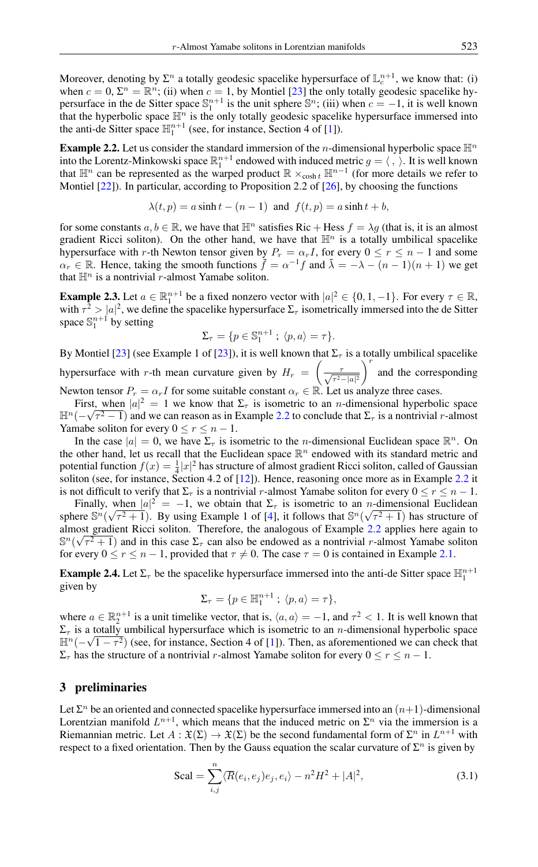Moreover, denoting by  $\Sigma^n$  a totally geodesic spacelike hypersurface of  $\mathbb{L}_c^{n+1}$ , we know that: (i) when  $c = 0$ ,  $\Sigma^n = \mathbb{R}^n$ ; (ii) when  $c = 1$ , by Montiel [\[23\]](#page-8-19) the only totally geodesic spacelike hypersurface in the de Sitter space  $\mathbb{S}^{n+1}$  is the unit sphere  $\mathbb{S}^n$ ; (iii) when  $c = -1$ , it is well known that the hyperbolic space  $\mathbb{H}^n$  is the only totally geodesic spacelike hypersurface immersed into the anti-de Sitter space  $\mathbb{H}^{n+1}_1$  (see, for instance, Section 4 of [\[1\]](#page-8-20)).

<span id="page-2-1"></span>**Example 2.2.** Let us consider the standard immersion of the *n*-dimensional hyperbolic space  $\mathbb{H}^n$ into the Lorentz-Minkowski space  $\mathbb{R}^{n+1}$  endowed with induced metric  $g = \langle , \rangle$ . It is well known that  $\mathbb{H}^n$  can be represented as the warped product  $\mathbb{R} \times_{\cosh t} \mathbb{H}^{n-1}$  (for more details we refer to Montiel  $[22]$ ). In particular, according to Proposition 2.2 of  $[26]$ , by choosing the functions

$$
\lambda(t, p) = a \sinh t - (n - 1) \text{ and } f(t, p) = a \sinh t + b,
$$

for some constants  $a, b \in \mathbb{R}$ , we have that  $\mathbb{H}^n$  satisfies Ric + Hess  $f = \lambda g$  (that is, it is an almost gradient Ricci soliton). On the other hand, we have that  $\mathbb{H}^n$  is a totally umbilical spacelike hypersurface with r-th Newton tensor given by  $P_r = \alpha_r I$ , for every  $0 \le r \le n - 1$  and some  $\alpha_r \in \mathbb{R}$ . Hence, taking the smooth functions  $\tilde{f} = \alpha^{-1} f$  and  $\tilde{\lambda} = -\lambda - (n-1)(n+1)$  we get that  $\mathbb{H}^n$  is a nontrivial r-almost Yamabe soliton.

**Example 2.3.** Let  $a \in \mathbb{R}^{n+1}$  be a fixed nonzero vector with  $|a|^2 \in \{0, 1, -1\}$ . For every  $\tau \in \mathbb{R}$ , with  $\tau^2 > |a|^2$ , we define the spacelike hypersurface  $\Sigma_{\tau}$  isometrically immersed into the de Sitter space  $\mathbb{S}^{n+1}_1$  by setting

$$
\Sigma_{\tau} = \{ p \in \mathbb{S}^{n+1}_1 ; \langle p, a \rangle = \tau \}.
$$

By Montiel [\[23\]](#page-8-19) (see Example 1 of [23]), it is well known that  $\Sigma_{\tau}$  is a totally umbilical spacelike hypersurface with r-th mean curvature given by  $H_r = \left(\frac{\tau}{\sqrt{\tau^2 - |a|^2}}\right)$  $\int_{0}^{r}$  and the corresponding

Newton tensor  $P_r = \alpha_r I$  for some suitable constant  $\alpha_r \in \mathbb{R}$ . Let us analyze three cases.

First, when  $|a|^2 = 1$  we know that  $\Sigma_{\tau}$  is isometric to an *n*-dimensional hyperbolic space  $\mathbb{H}^n(-\sqrt{\tau^2-1})$  and we can reason as in Example [2.2](#page-2-1) to conclude that  $\Sigma_\tau$  is a nontrivial r-almost Yamabe soliton for every  $0 \le r \le n - 1$ .

In the case  $|a| = 0$ , we have  $\Sigma_{\tau}$  is isometric to the *n*-dimensional Euclidean space  $\mathbb{R}^{n}$ . On the other hand, let us recall that the Euclidean space  $\mathbb{R}^n$  endowed with its standard metric and potential function  $f(x) = \frac{1}{4}|x|^2$  has structure of almost gradient Ricci soliton, called of Gaussian soliton (see, for instance, Section 4.2 of [\[12\]](#page-8-8)). Hence, reasoning once more as in Example [2.2](#page-2-1) it is not difficult to verify that  $\Sigma_{\tau}$  is a nontrivial r-almost Yamabe soliton for every  $0 \le r \le n - 1$ .

Finally, when  $|a|^2 = -1$ , we obtain that  $\Sigma_{\tau}$  is isometric to an *n*-dimensional Euclidean sphere  $\mathbb{S}^n(\sqrt{\tau^2+1})$ . By using Example 1 of [\[4\]](#page-8-23), it follows that  $\mathbb{S}^n(\sqrt{\tau^2+1})$  has structure of almost gradient Ricci soliton. Therefore, the analogous of Example [2.2](#page-2-1) applies here again to  $\mathbb{S}^n(\sqrt{\tau^2+1})$  and in this case  $\Sigma_{\tau}$  can also be endowed as a nontrivial r-almost Yamabe soliton for every  $0 \le r \le n-1$ , provided that  $\tau \neq 0$ . The case  $\tau = 0$  is contained in Example [2.1.](#page-1-4)

**Example 2.4.** Let  $\Sigma_{\tau}$  be the spacelike hypersurface immersed into the anti-de Sitter space  $\mathbb{H}_1^{n+1}$ given by

$$
\Sigma_{\tau} = \{ p \in \mathbb{H}_1^{n+1} ; \langle p, a \rangle = \tau \},
$$

where  $a \in \mathbb{R}^{n+1}$  is a unit timelike vector, that is,  $\langle a, a \rangle = -1$ , and  $\tau^2 < 1$ . It is well known that  $\Sigma_{\tau}$  is a totally umbilical hypersurface which is isometric to an *n*-dimensional hyperbolic space  $\mathbb{H}^{n}(-\sqrt{1-\tau^2})$  (see, for instance, Section 4 of [\[1\]](#page-8-20)). Then, as aforementioned we can check that  $\Sigma_{\tau}$  has the structure of a nontrivial r-almost Yamabe soliton for every  $0 \le r \le n - 1$ .

# <span id="page-2-0"></span>3 preliminaries

Let  $\Sigma^n$  be an oriented and connected spacelike hypersurface immersed into an  $(n+1)$ -dimensional Lorentzian manifold  $L^{n+1}$ , which means that the induced metric on  $\Sigma^n$  via the immersion is a Riemannian metric. Let  $A: \mathfrak{X}(\Sigma) \to \mathfrak{X}(\Sigma)$  be the second fundamental form of  $\Sigma^n$  in  $L^{n+1}$  with respect to a fixed orientation. Then by the Gauss equation the scalar curvature of  $\Sigma^n$  is given by

<span id="page-2-2"></span>
$$
\text{Scal} = \sum_{i,j}^{n} \langle \overline{R}(e_i, e_j)e_j, e_i \rangle - n^2 H^2 + |A|^2, \tag{3.1}
$$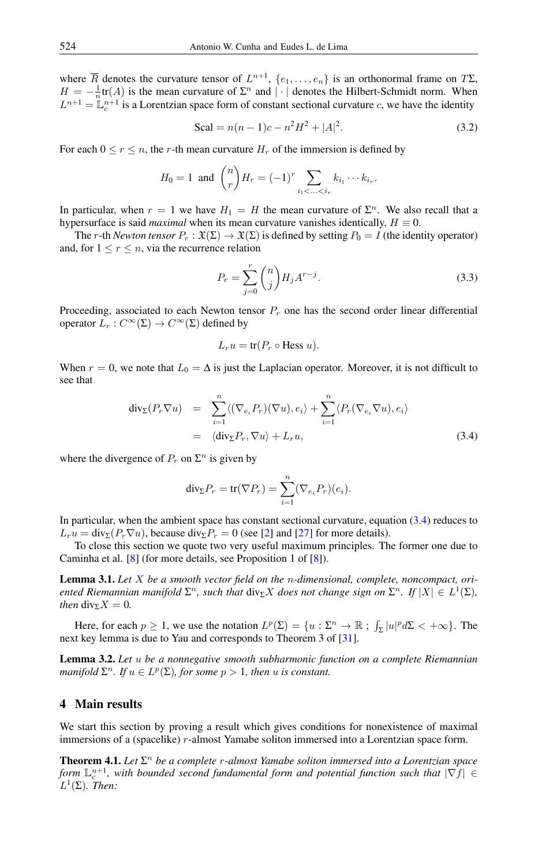where  $\overline{R}$  denotes the curvature tensor of  $L^{n+1}$ ,  $\{e_1, \ldots, e_n\}$  is an orthonormal frame on  $T\Sigma$ ,  $H = -\frac{1}{n}$ tr(A) is the mean curvature of  $\Sigma^n$  and  $|\cdot|$  denotes the Hilbert-Schmidt norm. When  $L^{n+1} = \mathbb{L}_c^{n+1}$  is a Lorentzian space form of constant sectional curvature c, we have the identity

<span id="page-3-2"></span>Scal = 
$$
n(n-1)c - n^2H^2 + |A|^2
$$
. (3.2)

For each  $0 \le r \le n$ , the r-th mean curvature  $H_r$  of the immersion is defined by

$$
H_0 = 1
$$
 and  $\binom{n}{r} H_r = (-1)^r \sum_{i_1 < \ldots < i_r} k_{i_1} \cdots k_{i_r}.$ 

In particular, when  $r = 1$  we have  $H_1 = H$  the mean curvature of  $\Sigma^n$ . We also recall that a hypersurface is said *maximal* when its mean curvature vanishes identically,  $H \equiv 0$ .

The r-th *Newton tensor*  $P_r : \mathfrak{X}(\Sigma) \to \mathfrak{X}(\Sigma)$  is defined by setting  $P_0 = I$  (the identity operator) and, for  $1 \le r \le n$ , via the recurrence relation

<span id="page-3-3"></span>
$$
P_r = \sum_{j=0}^{r} \binom{n}{j} H_j A^{r-j}.
$$
 (3.3)

Proceeding, associated to each Newton tensor  $P_r$  one has the second order linear differential operator  $L_r: C^\infty(\Sigma) \to C^\infty(\Sigma)$  defined by

$$
L_r u = \text{tr}(P_r \circ \text{Hess } u).
$$

When  $r = 0$ , we note that  $L_0 = \Delta$  is just the Laplacian operator. Moreover, it is not difficult to see that

<span id="page-3-1"></span>
$$
\begin{array}{rcl}\n\text{div}_{\Sigma}(P_r \nabla u) & = & \sum_{i=1}^n \langle (\nabla_{e_i} P_r)(\nabla u), e_i \rangle + \sum_{i=1}^n \langle P_r(\nabla_{e_i} \nabla u), e_i \rangle \\
& = & \langle \text{div}_{\Sigma} P_r, \nabla u \rangle + L_r u,\n\end{array} \tag{3.4}
$$

where the divergence of  $P_r$  on  $\Sigma^n$  is given by

$$
\mathrm{div}_{\Sigma} P_r = \mathrm{tr}(\nabla P_r) = \sum_{i=1}^n (\nabla_{e_i} P_r)(e_i).
$$

In particular, when the ambient space has constant sectional curvature, equation [\(3.4\)](#page-3-1) reduces to  $L_r u = \text{div}_{\Sigma}(P_r \nabla u)$ , because  $\text{div}_{\Sigma} P_r = 0$  (see [\[2\]](#page-8-24) and [\[27\]](#page-8-25) for more details).

To close this section we quote two very useful maximum principles. The former one due to Caminha et al. [\[8\]](#page-8-26) (for more details, see Proposition 1 of [\[8\]](#page-8-26)).

<span id="page-3-4"></span>Lemma 3.1. *Let* X *be a smooth vector field on the* n*-dimensional, complete, noncompact, oriented Riemannian manifold*  $\Sigma^n$ , such that div<sub> $\Sigma$ </sub>X does not change sign on  $\Sigma^n$ . If  $|X| \in L^1(\Sigma)$ , *then* div<sub>Σ</sub> $X = 0$ *.* 

Here, for each  $p \ge 1$ , we use the notation  $L^p(\Sigma) = \{u : \Sigma^n \to \mathbb{R} : \int_{\Sigma} |u|^p d\Sigma < +\infty\}$ . The next key lemma is due to Yau and corresponds to Theorem 3 of [\[31\]](#page-9-1).

<span id="page-3-5"></span>Lemma 3.2. *Let* u *be a nonnegative smooth subharmonic function on a complete Riemannian manifold*  $\Sigma^n$ *. If*  $u \in L^p(\Sigma)$ *, for some*  $p > 1$ *, then u is constant.* 

# <span id="page-3-0"></span>4 Main results

We start this section by proving a result which gives conditions for nonexistence of maximal immersions of a (spacelike) r-almost Yamabe soliton immersed into a Lorentzian space form.

<span id="page-3-6"></span>**Theorem 4.1.** Let  $\Sigma^n$  be a complete r-almost Yamabe soliton immersed into a Lorentzian space form  $\mathbb{L}_c^{n+1}$ , with bounded second fundamental form and potential function such that  $|\nabla f| \in$  $L^1(\Sigma)$ *. Then:*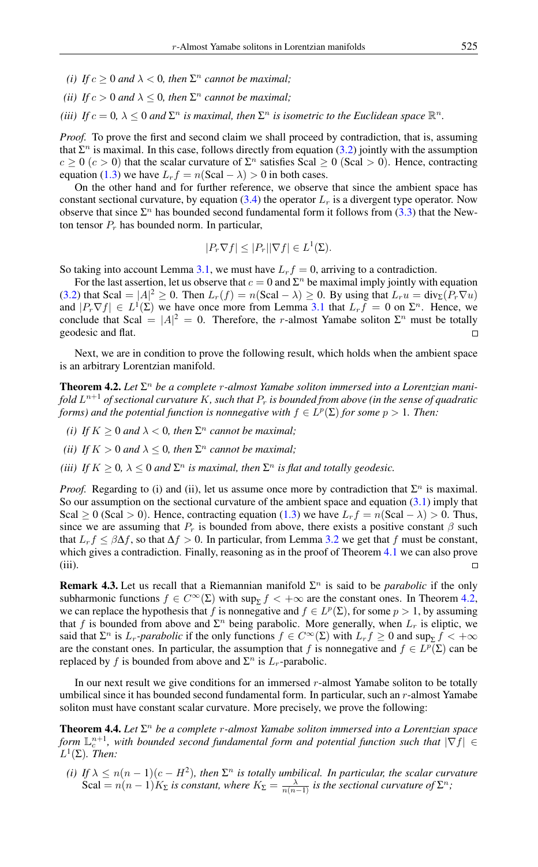- *(i)* If  $c \geq 0$  and  $\lambda < 0$ , then  $\Sigma<sup>n</sup>$  cannot be maximal;
- *(ii) If*  $c > 0$  *and*  $\lambda \leq 0$ *, then*  $\Sigma<sup>n</sup>$  *cannot be maximal*;
- *(iii)* If  $c = 0$ ,  $\lambda \leq 0$  and  $\Sigma<sup>n</sup>$  *is maximal, then*  $\Sigma<sup>n</sup>$  *is isometric to the Euclidean space*  $\mathbb{R}<sup>n</sup>$ *.*

*Proof.* To prove the first and second claim we shall proceed by contradiction, that is, assuming that  $\Sigma^n$  is maximal. In this case, follows directly from equation [\(3.2\)](#page-3-2) jointly with the assumption  $c \ge 0$  ( $c > 0$ ) that the scalar curvature of  $\Sigma<sup>n</sup>$  satisfies Scal  $\ge 0$  (Scal  $> 0$ ). Hence, contracting equation [\(1.3\)](#page-1-0) we have  $L_r f = n(Scal - \lambda) > 0$  in both cases.

On the other hand and for further reference, we observe that since the ambient space has constant sectional curvature, by equation [\(3.4\)](#page-3-1) the operator  $L_r$  is a divergent type operator. Now observe that since  $\Sigma^n$  has bounded second fundamental form it follows from [\(3.3\)](#page-3-3) that the Newton tensor  $P_r$  has bounded norm. In particular,

$$
|P_r \nabla f| \le |P_r| |\nabla f| \in L^1(\Sigma).
$$

So taking into account Lemma [3.1,](#page-3-4) we must have  $L_r f = 0$ , arriving to a contradiction.

For the last assertion, let us observe that  $c = 0$  and  $\Sigma<sup>n</sup>$  be maximal imply jointly with equation [\(3.2\)](#page-3-2) that Scal =  $|A|^2 \ge 0$ . Then  $L_r(f) = n(\text{Scal} - \lambda) \ge 0$ . By using that  $L_r u = \text{div}_{\Sigma}(P_r \nabla u)$ and  $|P_r \nabla f| \in L^1(\Sigma)$  we have once more from Lemma [3.1](#page-3-4) that  $L_r f = 0$  on  $\Sigma^n$ . Hence, we conclude that Scal =  $|A|^2 = 0$ . Therefore, the r-almost Yamabe soliton  $\Sigma^n$  must be totally geodesic and flat.  $\Box$ 

Next, we are in condition to prove the following result, which holds when the ambient space is an arbitrary Lorentzian manifold.

<span id="page-4-0"></span>**Theorem 4.2.** Let Σ<sup>*n*</sup> be a complete *r*-almost Yamabe soliton immersed into a Lorentzian mani*fold* L <sup>n</sup>+<sup>1</sup> *of sectional curvature* K*, such that* P<sup>r</sup> *is bounded from above (in the sense of quadratic forms) and the potential function is nonnegative with*  $f \in L^p(\Sigma)$  *for some*  $p > 1$ *. Then:* 

- *(i) If*  $K \geq 0$  *and*  $\lambda < 0$ *, then*  $\Sigma<sup>n</sup>$  *cannot be maximal*;
- *(ii) If*  $K > 0$  *and*  $\lambda \leq 0$ *, then*  $\Sigma<sup>n</sup>$  *cannot be maximal*;
- *(iii)* If  $K \geq 0$ ,  $\lambda \leq 0$  and  $\Sigma<sup>n</sup>$  *is maximal, then*  $\Sigma<sup>n</sup>$  *is flat and totally geodesic.*

*Proof.* Regarding to (i) and (ii), let us assume once more by contradiction that  $\Sigma^n$  is maximal. So our assumption on the sectional curvature of the ambient space and equation  $(3.1)$  imply that Scal  $\geq 0$  (Scal > 0). Hence, contracting equation [\(1.3\)](#page-1-0) we have  $L_r f = n(Scal - \lambda) > 0$ . Thus, since we are assuming that  $P_r$  is bounded from above, there exists a positive constant  $\beta$  such that  $L_r f \leq \beta \Delta f$ , so that  $\Delta f > 0$ . In particular, from Lemma [3.2](#page-3-5) we get that f must be constant, which gives a contradiction. Finally, reasoning as in the proof of Theorem [4.1](#page-3-6) we can also prove (iii).

**Remark 4.3.** Let us recall that a Riemannian manifold  $\Sigma^n$  is said to be *parabolic* if the only subharmonic functions  $f \in C^{\infty}(\Sigma)$  with  $\sup_{\Sigma} f < +\infty$  are the constant ones. In Theorem [4.2,](#page-4-0) we can replace the hypothesis that f is nonnegative and  $f \in L^p(\Sigma)$ , for some  $p > 1$ , by assuming that f is bounded from above and  $\Sigma<sup>n</sup>$  being parabolic. More generally, when  $L<sub>r</sub>$  is eliptic, we said that  $\Sigma^n$  is  $L_r$ *-parabolic* if the only functions  $f \in C^\infty(\Sigma)$  with  $L_r f \ge 0$  and  $\sup_{\Sigma} f < +\infty$ are the constant ones. In particular, the assumption that f is nonnegative and  $f \in L^p(\Sigma)$  can be replaced by f is bounded from above and  $\Sigma^n$  is  $L_r$ -parabolic.

In our next result we give conditions for an immersed  $r$ -almost Yamabe soliton to be totally umbilical since it has bounded second fundamental form. In particular, such an r-almost Yamabe soliton must have constant scalar curvature. More precisely, we prove the following:

<span id="page-4-1"></span>**Theorem 4.4.** Let  $\Sigma^n$  be a complete *r*-almost Yamabe soliton immersed into a Lorentzian space form  $\mathbb{L}_c^{n+1}$ , with bounded second fundamental form and potential function such that  $|\nabla f| \in$  $L^1(\Sigma)$ *. Then:* 

(*i*) If  $\lambda \leq n(n-1)(c-H^2)$ , then  $\Sigma^n$  is totally umbilical. In particular, the scalar curvature Scal =  $n(n-1)K_{\Sigma}$  is constant, where  $K_{\Sigma} = \frac{\lambda}{n(n-1)}$  is the sectional curvature of  $\Sigma^{n}$ ;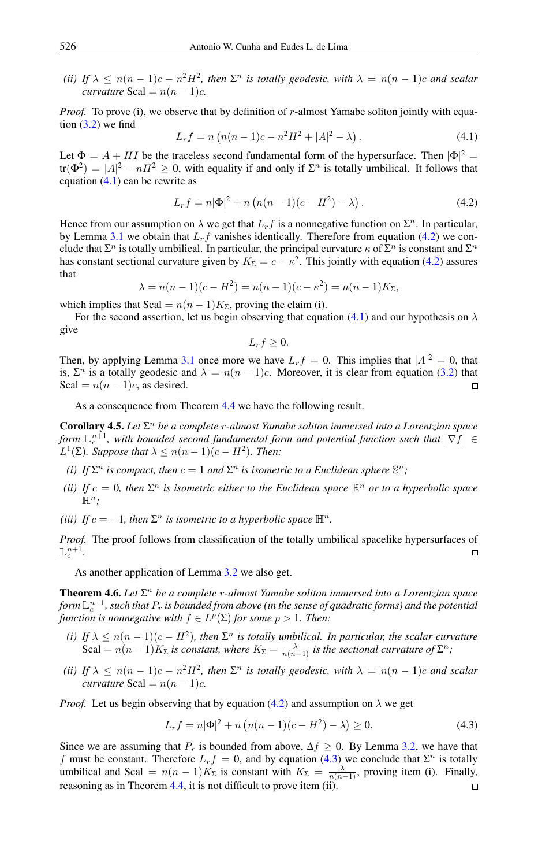(*ii*) If  $\lambda \leq n(n-1)c - n^2H^2$ , then  $\Sigma^n$  is totally geodesic, with  $\lambda = n(n-1)c$  and scalar *curvature* Scal =  $n(n-1)c$ *.* 

*Proof.* To prove (i), we observe that by definition of r-almost Yamabe soliton jointly with equation  $(3.2)$  we find

<span id="page-5-0"></span>
$$
L_r f = n \left( n(n-1)c - n^2 H^2 + |A|^2 - \lambda \right). \tag{4.1}
$$

Let  $\Phi = A + H I$  be the traceless second fundamental form of the hypersurface. Then  $|\Phi|^2 =$  $tr(\Phi^2) = |A|^2 - nH^2 \ge 0$ , with equality if and only if  $\Sigma^n$  is totally umbilical. It follows that equation  $(4.1)$  can be rewrite as

<span id="page-5-1"></span>
$$
L_r f = n |\Phi|^2 + n (n(n-1)(c - H^2) - \lambda).
$$
 (4.2)

Hence from our assumption on  $\lambda$  we get that  $L_r f$  is a nonnegative function on  $\Sigma^n$ . In particular, by Lemma [3.1](#page-3-4) we obtain that  $L_r f$  vanishes identically. Therefore from equation [\(4.2\)](#page-5-1) we conclude that  $\Sigma^n$  is totally umbilical. In particular, the principal curvature  $\kappa$  of  $\Sigma^n$  is constant and  $\Sigma^n$ has constant sectional curvature given by  $K_{\Sigma} = c - \kappa^2$ . This jointly with equation [\(4.2\)](#page-5-1) assures that

$$
\lambda = n(n-1)(c - H^2) = n(n-1)(c - \kappa^2) = n(n-1)K_{\Sigma},
$$

which implies that Scal =  $n(n-1)K_{\Sigma}$ , proving the claim (i).

For the second assertion, let us begin observing that equation [\(4.1\)](#page-5-0) and our hypothesis on  $\lambda$ give

$$
L_r f \geq 0.
$$

Then, by applying Lemma [3.1](#page-3-4) once more we have  $L_r f = 0$ . This implies that  $|A|^2 = 0$ , that is,  $\Sigma^n$  is a totally geodesic and  $\lambda = n(n-1)c$ . Moreover, it is clear from equation [\(3.2\)](#page-3-2) that Scal =  $n(n-1)c$ , as desired.  $\Box$ 

As a consequence from Theorem [4.4](#page-4-1) we have the following result.

Corollary 4.5. *Let* Σ <sup>n</sup> *be a complete* r*-almost Yamabe soliton immersed into a Lorentzian space* form  $\mathbb{L}^{n+1}_c$ , with bounded second fundamental form and potential function such that  $|\nabla f| \in$  $L^1(\Sigma)$ *. Suppose that*  $\lambda \leq n(n-1)(c-H^2)$ *. Then:* 

- *(i) If*  $\Sigma^n$  *is compact, then*  $c = 1$  *and*  $\Sigma^n$  *is isometric to a Euclidean sphere*  $\mathbb{S}^n$ *;*
- *(ii)* If  $c = 0$ , then  $\Sigma<sup>n</sup>$  is isometric either to the Euclidean space  $\mathbb{R}<sup>n</sup>$  or to a hyperbolic space  $\mathbb{H}^n$ .
- *(iii) If*  $c = -1$ *, then*  $\Sigma<sup>n</sup>$  *is isometric to a hyperbolic space*  $\mathbb{H}<sup>n</sup>$ *.*

*Proof.* The proof follows from classification of the totally umbilical spacelike hypersurfaces of  $\mathbb{L}^{n+1}_c.$  $\Box$ 

As another application of Lemma [3.2](#page-3-5) we also get.

<span id="page-5-3"></span>**Theorem 4.6.** Let  $\Sigma^n$  be a complete *r*-almost Yamabe soliton immersed into a Lorentzian space form  $\mathbb{L}^{n+1}_c$  , such that  $P_r$  is bounded from above (in the sense of quadratic forms) and the potential *function is nonnegative with*  $f \in L^p(\Sigma)$  *for some*  $p > 1$ *. Then:* 

- (*i*) If  $\lambda \leq n(n-1)(c-H^2)$ , then  $\Sigma^n$  is totally umbilical. In particular, the scalar curvature Scal =  $n(n-1)K_{\Sigma}$  is constant, where  $K_{\Sigma} = \frac{\lambda}{n(n-1)}$  is the sectional curvature of  $\Sigma^{n}$ ;
- *(ii)* If  $\lambda \leq n(n-1)c n^2H^2$ , then  $\Sigma^n$  is totally geodesic, with  $\lambda = n(n-1)c$  and scalar *curvature* Scal =  $n(n-1)c$ *.*

*Proof.* Let us begin observing that by equation [\(4.2\)](#page-5-1) and assumption on  $\lambda$  we get

<span id="page-5-2"></span>
$$
L_r f = n|\Phi|^2 + n\left(n(n-1)(c - H^2) - \lambda\right) \ge 0.
$$
\n(4.3)

Since we are assuming that  $P_r$  is bounded from above,  $\Delta f \ge 0$ . By Lemma [3.2,](#page-3-5) we have that f must be constant. Therefore  $L_r f = 0$ , and by equation [\(4.3\)](#page-5-2) we conclude that  $\Sigma^n$  is totally umbilical and Scal =  $n(n-1)K_{\Sigma}$  is constant with  $K_{\Sigma} = \frac{\lambda}{n(n-1)}$ , proving item (i). Finally, reasoning as in Theorem [4.4,](#page-4-1) it is not difficult to prove item (ii). $\Box$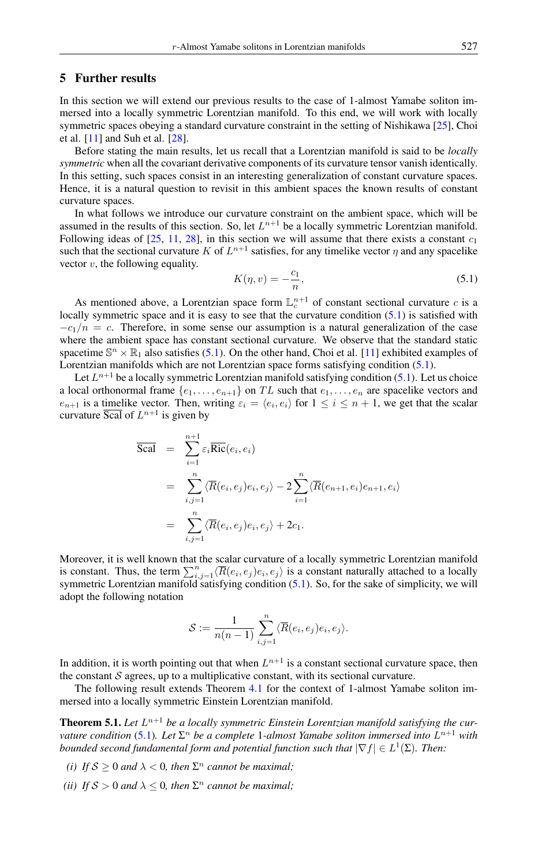#### <span id="page-6-0"></span>5 Further results

In this section we will extend our previous results to the case of 1-almost Yamabe soliton immersed into a locally symmetric Lorentzian manifold. To this end, we will work with locally symmetric spaces obeying a standard curvature constraint in the setting of Nishikawa [\[25\]](#page-8-27), Choi et al. [\[11\]](#page-8-28) and Suh et al. [\[28\]](#page-8-29).

Before stating the main results, let us recall that a Lorentzian manifold is said to be *locally symmetric* when all the covariant derivative components of its curvature tensor vanish identically. In this setting, such spaces consist in an interesting generalization of constant curvature spaces. Hence, it is a natural question to revisit in this ambient spaces the known results of constant curvature spaces.

In what follows we introduce our curvature constraint on the ambient space, which will be assumed in the results of this section. So, let  $L^{n+1}$  be a locally symmetric Lorentzian manifold. Following ideas of [\[25,](#page-8-27) [11,](#page-8-28) [28\]](#page-8-29), in this section we will assume that there exists a constant  $c_1$ such that the sectional curvature K of  $L^{n+1}$  satisfies, for any timelike vector  $\eta$  and any spacelike vector  $v$ , the following equality.

<span id="page-6-1"></span>
$$
K(\eta, v) = -\frac{c_1}{n},\tag{5.1}
$$

As mentioned above, a Lorentzian space form  $\mathbb{L}^{n+1}_c$  of constant sectional curvature c is a locally symmetric space and it is easy to see that the curvature condition  $(5.1)$  is satisfied with  $-c_1/n = c$ . Therefore, in some sense our assumption is a natural generalization of the case where the ambient space has constant sectional curvature. We observe that the standard static spacetime  $\mathbb{S}^n \times \mathbb{R}_1$  also satisfies [\(5.1\)](#page-6-1). On the other hand, Choi et al. [\[11\]](#page-8-28) exhibited examples of Lorentzian manifolds which are not Lorentzian space forms satisfying condition [\(5.1\)](#page-6-1).

Let  $L^{n+1}$  be a locally symmetric Lorentzian manifold satisfying condition [\(5.1\)](#page-6-1). Let us choice a local orthonormal frame  $\{e_1, \ldots, e_{n+1}\}$  on TL such that  $e_1, \ldots, e_n$  are spacelike vectors and  $e_{n+1}$  is a timelike vector. Then, writing  $\varepsilon_i = \langle e_i, e_i \rangle$  for  $1 \le i \le n+1$ , we get that the scalar curvature  $\overline{Scal}$  of  $L^{n+1}$  is given by

$$
\overline{\text{Scal}} = \sum_{i=1}^{n+1} \varepsilon_i \overline{\text{Ric}}(e_i, e_i)
$$
\n
$$
= \sum_{i,j=1}^n \langle \overline{R}(e_i, e_j) e_i, e_j \rangle - 2 \sum_{i=1}^n \langle \overline{R}(e_{n+1}, e_i) e_{n+1}, e_i \rangle
$$
\n
$$
= \sum_{i,j=1}^n \langle \overline{R}(e_i, e_j) e_i, e_j \rangle + 2c_1.
$$

Moreover, it is well known that the scalar curvature of a locally symmetric Lorentzian manifold is constant. Thus, the term  $\sum_{i,j=1}^n \langle \overline{R}(e_i, e_j)e_i, e_j \rangle$  is a constant naturally attached to a locally symmetric Lorentzian manifold satisfying condition [\(5.1\)](#page-6-1). So, for the sake of simplicity, we will adopt the following notation

$$
\mathcal{S} := \frac{1}{n(n-1)} \sum_{i,j=1}^n \langle \overline{R}(e_i, e_j) e_i, e_j \rangle.
$$

In addition, it is worth pointing out that when  $L^{n+1}$  is a constant sectional curvature space, then the constant  $S$  agrees, up to a multiplicative constant, with its sectional curvature.

The following result extends Theorem [4.1](#page-3-6) for the context of 1-almost Yamabe soliton immersed into a locally symmetric Einstein Lorentzian manifold.

<span id="page-6-2"></span>**Theorem 5.1.** Let  $L^{n+1}$  be a locally symmetric Einstein Lorentzian manifold satisfying the cur*vature condition* [\(5.1\)](#page-6-1). Let Σ<sup>*n*</sup> be a complete 1-almost Yamabe soliton immersed into L<sup>n+1</sup> with *bounded second fundamental form and potential function such that*  $|\nabla f| \in L^1(\Sigma)$ . Then:

- *(i) If*  $S \ge 0$  *and*  $\lambda < 0$ *, then*  $\Sigma<sup>n</sup>$  *cannot be maximal*;
- *(ii) If*  $S > 0$  *and*  $\lambda \leq 0$ *, then*  $\Sigma<sup>n</sup>$  *cannot be maximal*;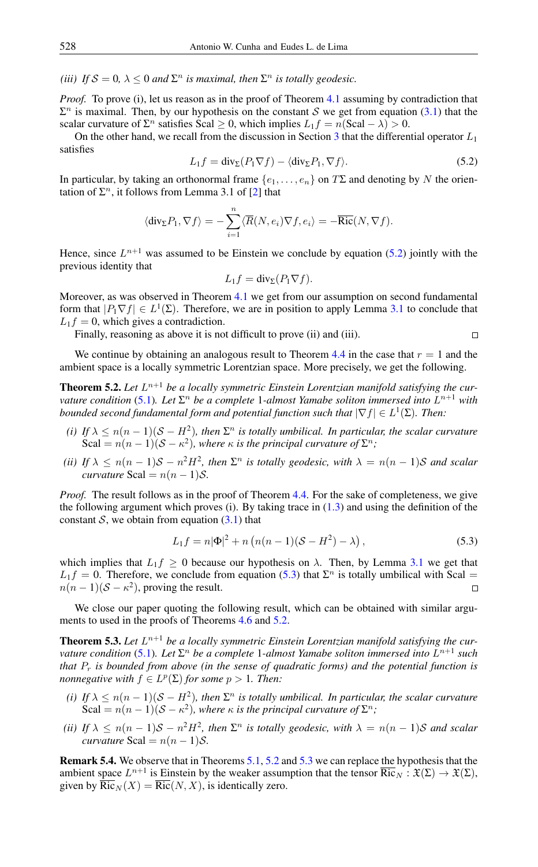(*iii*) If  $S = 0$ ,  $\lambda \leq 0$  and  $\Sigma<sup>n</sup>$  *is maximal, then*  $\Sigma<sup>n</sup>$  *is totally geodesic.* 

*Proof.* To prove (i), let us reason as in the proof of Theorem [4.1](#page-3-6) assuming by contradiction that  $\Sigma<sup>n</sup>$  is maximal. Then, by our hypothesis on the constant S we get from equation [\(3.1\)](#page-2-2) that the scalar curvature of  $\Sigma^n$  satisfies Scal  $\geq 0$ , which implies  $L_1 f = n(\text{Scal} - \lambda) > 0$ .

<span id="page-7-0"></span>On the other hand, we recall from the discussion in Section [3](#page-2-0) that the differential operator  $L_1$ satisfies

$$
L_1 f = \text{div}_{\Sigma}(P_1 \nabla f) - \langle \text{div}_{\Sigma} P_1, \nabla f \rangle.
$$
 (5.2)

 $\Box$ 

In particular, by taking an orthonormal frame  $\{e_1, \ldots, e_n\}$  on  $T\Sigma$  and denoting by N the orientation of  $\Sigma^n$ , it follows from Lemma 3.1 of [\[2\]](#page-8-24) that

$$
\langle \operatorname{div}_{\Sigma} P_1, \nabla f \rangle = -\sum_{i=1}^n \langle \overline{R}(N, e_i) \nabla f, e_i \rangle = -\overline{\text{Ric}}(N, \nabla f).
$$

Hence, since  $L^{n+1}$  was assumed to be Einstein we conclude by equation [\(5.2\)](#page-7-0) jointly with the previous identity that

$$
L_1f = \text{div}_{\Sigma}(P_1 \nabla f).
$$

Moreover, as was observed in Theorem [4.1](#page-3-6) we get from our assumption on second fundamental form that  $|P_1 \nabla f| \in L^1(\Sigma)$ . Therefore, we are in position to apply Lemma [3.1](#page-3-4) to conclude that  $L_1 f = 0$ , which gives a contradiction.

Finally, reasoning as above it is not difficult to prove (ii) and (iii).

We continue by obtaining an analogous result to Theorem [4.4](#page-4-1) in the case that  $r = 1$  and the ambient space is a locally symmetric Lorentzian space. More precisely, we get the following.

<span id="page-7-2"></span>**Theorem 5.2.** Let  $L^{n+1}$  be a locally symmetric Einstein Lorentzian manifold satisfying the cur*vature condition* [\(5.1\)](#page-6-1). Let  $\Sigma^n$  be a complete 1-almost Yamabe soliton immersed into  $L^{n+1}$  with bounded second fundamental form and potential function such that  $|\nabla f| \in L^1(\Sigma)$ . Then:

- (*i*) If  $\lambda \leq n(n-1)(S-H^2)$ , then  $\Sigma^n$  is totally umbilical. In particular, the scalar curvature Scal =  $n(n-1)(S - \kappa^2)$ , where  $\kappa$  *is the principal curvature of*  $\Sigma^n$ ;
- (*ii*) If  $\lambda \leq n(n-1)S n^2H^2$ , then  $\Sigma^n$  is totally geodesic, with  $\lambda = n(n-1)S$  and scalar *curvature* Scal =  $n(n-1)$ S.

*Proof.* The result follows as in the proof of Theorem [4.4.](#page-4-1) For the sake of completeness, we give the following argument which proves (i). By taking trace in  $(1.3)$  and using the definition of the constant S, we obtain from equation  $(3.1)$  that

<span id="page-7-1"></span>
$$
L_1 f = n |\Phi|^2 + n (n(n-1)(S - H^2) - \lambda),
$$
\n(5.3)

which implies that  $L_1 f \ge 0$  because our hypothesis on  $\lambda$ . Then, by Lemma [3.1](#page-3-4) we get that  $L_1 f = 0$ . Therefore, we conclude from equation [\(5.3\)](#page-7-1) that  $\Sigma^n$  is totally umbilical with Scal =  $n(n-1)(S - \kappa^2)$ , proving the result.

We close our paper quoting the following result, which can be obtained with similar argu-ments to used in the proofs of Theorems [4.6](#page-5-3) and [5.2.](#page-7-2)

<span id="page-7-3"></span>**Theorem 5.3.** Let  $L^{n+1}$  be a locally symmetric Einstein Lorentzian manifold satisfying the cur*vature condition* [\(5.1\)](#page-6-1). Let  $\Sigma^n$  be a complete 1-almost Yamabe soliton immersed into  $L^{n+1}$  such *that* P<sup>r</sup> *is bounded from above (in the sense of quadratic forms) and the potential function is nonnegative with*  $f \in L^p(\Sigma)$  *for some*  $p > 1$ *. Then:* 

- (*i*) If  $\lambda \leq n(n-1)(S-H^2)$ , then  $\Sigma^n$  is totally umbilical. In particular, the scalar curvature Scal =  $n(n-1)(S - \kappa^2)$ , where  $\kappa$  *is the principal curvature of*  $\Sigma^n$ ;
- (*ii*) If  $\lambda \leq n(n-1)S n^2H^2$ , then  $\Sigma^n$  is totally geodesic, with  $\lambda = n(n-1)S$  and scalar *curvature* Scal =  $n(n-1)$ *S*.

Remark 5.4. We observe that in Theorems [5.1,](#page-6-2) [5.2](#page-7-2) and [5.3](#page-7-3) we can replace the hypothesis that the ambient space  $L^{n+1}$  is Einstein by the weaker assumption that the tensor  $\overline{{\rm Ric}}_N : \mathfrak{X}(\Sigma) \to \mathfrak{X}(\Sigma)$ , given by  $\overline{\text{Ric}}_N(X) = \overline{\text{Ric}}(N, X)$ , is identically zero.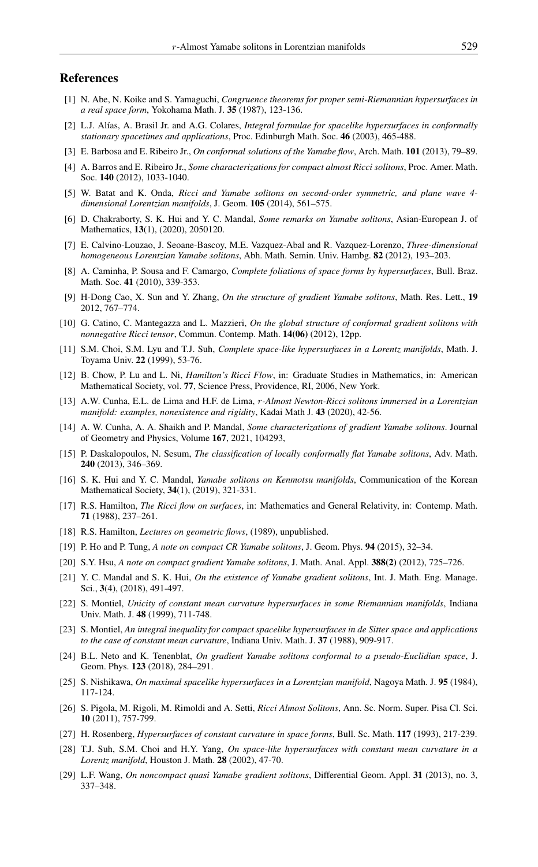#### <span id="page-8-0"></span>References

- <span id="page-8-20"></span>[1] N. Abe, N. Koike and S. Yamaguchi, *Congruence theorems for proper semi-Riemannian hypersurfaces in a real space form*, Yokohama Math. J. 35 (1987), 123-136.
- <span id="page-8-24"></span>[2] L.J. Alías, A. Brasil Jr. and A.G. Colares, *Integral formulae for spacelike hypersurfaces in conformally stationary spacetimes and applications*, Proc. Edinburgh Math. Soc. 46 (2003), 465-488.
- <span id="page-8-1"></span>[3] E. Barbosa and E. Ribeiro Jr., *On conformal solutions of the Yamabe flow*, Arch. Math. 101 (2013), 79–89.
- <span id="page-8-23"></span>[4] A. Barros and E. Ribeiro Jr., *Some characterizations for compact almost Ricci solitons*, Proc. Amer. Math. Soc. 140 (2012), 1033-1040.
- <span id="page-8-15"></span>[5] W. Batat and K. Onda, *Ricci and Yamabe solitons on second-order symmetric, and plane wave 4 dimensional Lorentzian manifolds*, J. Geom. 105 (2014), 561–575.
- <span id="page-8-5"></span>[6] D. Chakraborty, S. K. Hui and Y. C. Mandal, *Some remarks on Yamabe solitons*, Asian-European J. of Mathematics, 13(1), (2020), 2050120.
- <span id="page-8-9"></span>[7] E. Calvino-Louzao, J. Seoane-Bascoy, M.E. Vazquez-Abal and R. Vazquez-Lorenzo, *Three-dimensional homogeneous Lorentzian Yamabe solitons*, Abh. Math. Semin. Univ. Hambg. 82 (2012), 193–203.
- <span id="page-8-26"></span>[8] A. Caminha, P. Sousa and F. Camargo, *Complete foliations of space forms by hypersurfaces*, Bull. Braz. Math. Soc. 41 (2010), 339-353.
- <span id="page-8-10"></span>[9] H-Dong Cao, X. Sun and Y. Zhang, *On the structure of gradient Yamabe solitons*, Math. Res. Lett., 19 2012, 767–774.
- <span id="page-8-11"></span>[10] G. Catino, C. Mantegazza and L. Mazzieri, *On the global structure of conformal gradient solitons with nonnegative Ricci tensor*, Commun. Contemp. Math. 14(06) (2012), 12pp.
- <span id="page-8-28"></span>[11] S.M. Choi, S.M. Lyu and T.J. Suh, *Complete space-like hypersurfaces in a Lorentz manifolds*, Math. J. Toyama Univ. 22 (1999), 53-76.
- <span id="page-8-8"></span>[12] B. Chow, P. Lu and L. Ni, *Hamilton's Ricci Flow*, in: Graduate Studies in Mathematics, in: American Mathematical Society, vol. 77, Science Press, Providence, RI, 2006, New York.
- <span id="page-8-18"></span>[13] A.W. Cunha, E.L. de Lima and H.F. de Lima, r*-Almost Newton-Ricci solitons immersed in a Lorentzian manifold: examples, nonexistence and rigidity*, Kadai Math J. 43 (2020), 42-56.
- <span id="page-8-4"></span>[14] A. W. Cunha, A. A. Shaikh and P. Mandal, *Some characterizations of gradient Yamabe solitons*. Journal of Geometry and Physics, Volume 167, 2021, 104293,
- <span id="page-8-13"></span>[15] P. Daskalopoulos, N. Sesum, *The classification of locally conformally flat Yamabe solitons*, Adv. Math. 240 (2013), 346–369.
- <span id="page-8-6"></span>[16] S. K. Hui and Y. C. Mandal, *Yamabe solitons on Kenmotsu manifolds*, Communication of the Korean Mathematical Society, 34(1), (2019), 321-331.
- <span id="page-8-2"></span>[17] R.S. Hamilton, *The Ricci flow on surfaces*, in: Mathematics and General Relativity, in: Contemp. Math. 71 (1988), 237–261.
- <span id="page-8-3"></span>[18] R.S. Hamilton, *Lectures on geometric flows*, (1989), unpublished.
- <span id="page-8-16"></span>[19] P. Ho and P. Tung, *A note on compact CR Yamabe solitons*, J. Geom. Phys. 94 (2015), 32–34.
- <span id="page-8-12"></span>[20] S.Y. Hsu, *A note on compact gradient Yamabe solitons*, J. Math. Anal. Appl. 388(2) (2012), 725–726.
- <span id="page-8-7"></span>[21] Y. C. Mandal and S. K. Hui, *On the existence of Yamabe gradient solitons*, Int. J. Math. Eng. Manage. Sci., 3(4), (2018), 491-497.
- <span id="page-8-21"></span>[22] S. Montiel, *Unicity of constant mean curvature hypersurfaces in some Riemannian manifolds*, Indiana Univ. Math. J. 48 (1999), 711-748.
- <span id="page-8-19"></span>[23] S. Montiel, *An integral inequality for compact spacelike hypersurfaces in de Sitter space and applications to the case of constant mean curvature*, Indiana Univ. Math. J. 37 (1988), 909-917.
- <span id="page-8-17"></span>[24] B.L. Neto and K. Tenenblat, *On gradient Yamabe solitons conformal to a pseudo-Euclidian space*, J. Geom. Phys. 123 (2018), 284–291.
- <span id="page-8-27"></span>[25] S. Nishikawa, *On maximal spacelike hypersurfaces in a Lorentzian manifold*, Nagoya Math. J. 95 (1984), 117-124.
- <span id="page-8-22"></span>[26] S. Pigola, M. Rigoli, M. Rimoldi and A. Setti, *Ricci Almost Solitons*, Ann. Sc. Norm. Super. Pisa Cl. Sci. 10 (2011), 757-799.
- <span id="page-8-25"></span>[27] H. Rosenberg, *Hypersurfaces of constant curvature in space forms*, Bull. Sc. Math. 117 (1993), 217-239.
- <span id="page-8-29"></span>[28] T.J. Suh, S.M. Choi and H.Y. Yang, *On space-like hypersurfaces with constant mean curvature in a Lorentz manifold*, Houston J. Math. 28 (2002), 47-70.
- <span id="page-8-14"></span>[29] L.F. Wang, *On noncompact quasi Yamabe gradient solitons*, Differential Geom. Appl. 31 (2013), no. 3, 337–348.